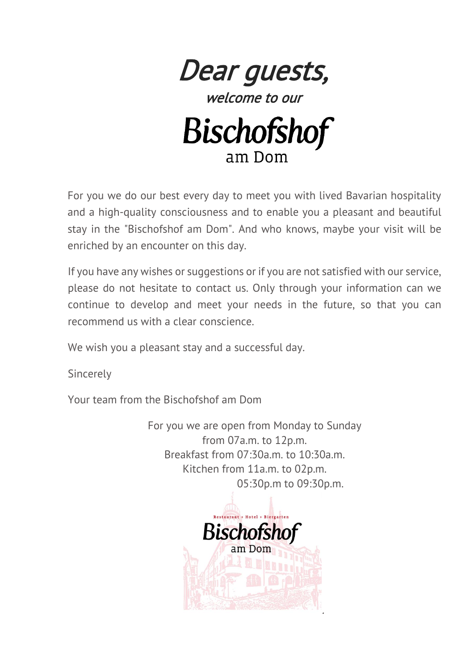

welcome to our



For you we do our best every day to meet you with lived Bavarian hospitality and a high-quality consciousness and to enable you a pleasant and beautiful stay in the "Bischofshof am Dom". And who knows, maybe your visit will be enriched by an encounter on this day.

If you have any wishes or suggestions or if you are not satisfied with our service, please do not hesitate to contact us. Only through your information can we continue to develop and meet your needs in the future, so that you can recommend us with a clear conscience.

We wish you a pleasant stay and a successful day.

**Sincerely** 

Your team from the Bischofshof am Dom

For you we are open from Monday to Sunday from 07a.m. to 12p.m. Breakfast from 07:30a.m. to 10:30a.m. Kitchen from 11a.m. to 02p.m. 05:30p.m to 09:30p.m.

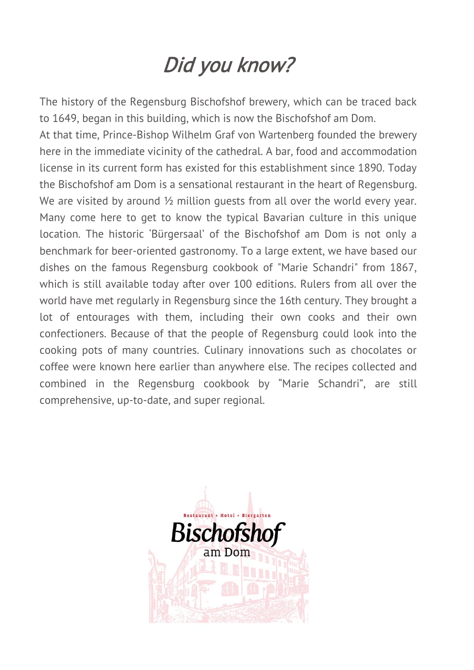# Did you know?

The history of the Regensburg Bischofshof brewery, which can be traced back to 1649, began in this building, which is now the Bischofshof am Dom.

At that time, Prince-Bishop Wilhelm Graf von Wartenberg founded the brewery here in the immediate vicinity of the cathedral. A bar, food and accommodation license in its current form has existed for this establishment since 1890. Today the Bischofshof am Dom is a sensational restaurant in the heart of Regensburg. We are visited by around  $\frac{1}{2}$  million quests from all over the world every year. Many come here to get to know the typical Bavarian culture in this unique location. The historic 'Bürgersaal' of the Bischofshof am Dom is not only a benchmark for beer-oriented gastronomy. To a large extent, we have based our dishes on the famous Regensburg cookbook of "Marie Schandri" from 1867, which is still available today after over 100 editions. Rulers from all over the world have met regularly in Regensburg since the 16th century. They brought a lot of entourages with them, including their own cooks and their own confectioners. Because of that the people of Regensburg could look into the cooking pots of many countries. Culinary innovations such as chocolates or coffee were known here earlier than anywhere else. The recipes collected and combined in the Regensburg cookbook by "Marie Schandri", are still comprehensive, up-to-date, and super regional.

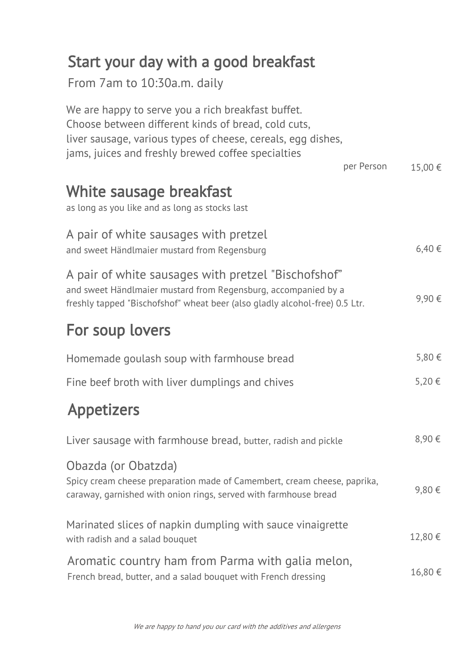# Start your day with a good breakfast

From 7am to 10:30a.m. daily

| We are happy to serve you a rich breakfast buffet.<br>Choose between different kinds of bread, cold cuts,<br>liver sausage, various types of cheese, cereals, egg dishes,<br>jams, juices and freshly brewed coffee specialties |         |
|---------------------------------------------------------------------------------------------------------------------------------------------------------------------------------------------------------------------------------|---------|
| per Person                                                                                                                                                                                                                      | 15,00 € |
| White sausage breakfast<br>as long as you like and as long as stocks last                                                                                                                                                       |         |
| A pair of white sausages with pretzel<br>and sweet Händlmaier mustard from Regensburg                                                                                                                                           | 6,40€   |
| A pair of white sausages with pretzel "Bischofshof"<br>and sweet Händlmaier mustard from Regensburg, accompanied by a<br>freshly tapped "Bischofshof" wheat beer (also gladly alcohol-free) 0.5 Ltr.                            | 9,90€   |
| For soup lovers                                                                                                                                                                                                                 |         |
| Homemade goulash soup with farmhouse bread                                                                                                                                                                                      | 5,80€   |
| Fine beef broth with liver dumplings and chives                                                                                                                                                                                 | 5,20 €  |
| <b>Appetizers</b>                                                                                                                                                                                                               |         |
| Liver sausage with farmhouse bread, butter, radish and pickle                                                                                                                                                                   | 8,90 €  |
| Obazda (or Obatzda)<br>Spicy cream cheese preparation made of Camembert, cream cheese, paprika,<br>caraway, garnished with onion rings, served with farmhouse bread                                                             | 9,80€   |
| Marinated slices of napkin dumpling with sauce vinaigrette<br>with radish and a salad bouquet                                                                                                                                   | 12,80 € |
| Aromatic country ham from Parma with galia melon,<br>French bread, butter, and a salad bouquet with French dressing                                                                                                             | 16,80€  |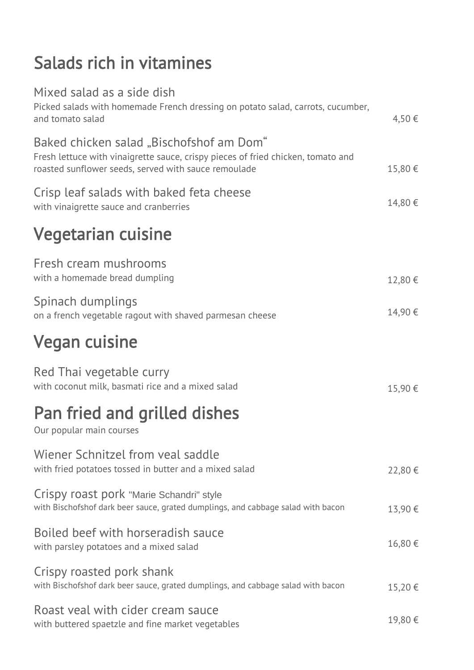# Salads rich in vitamines

| Mixed salad as a side dish<br>Picked salads with homemade French dressing on potato salad, carrots, cucumber,<br>and tomato salad                                                    | 4,50€  |
|--------------------------------------------------------------------------------------------------------------------------------------------------------------------------------------|--------|
| Baked chicken salad "Bischofshof am Dom"<br>Fresh lettuce with vinaigrette sauce, crispy pieces of fried chicken, tomato and<br>roasted sunflower seeds, served with sauce remoulade | 15,80€ |
| Crisp leaf salads with baked feta cheese<br>with vinaigrette sauce and cranberries                                                                                                   | 14,80€ |
| Vegetarian cuisine                                                                                                                                                                   |        |
| Fresh cream mushrooms<br>with a homemade bread dumpling                                                                                                                              | 12,80€ |
| Spinach dumplings<br>on a french vegetable ragout with shaved parmesan cheese                                                                                                        | 14,90€ |
| <b>Vegan cuisine</b>                                                                                                                                                                 |        |
| Red Thai vegetable curry<br>with coconut milk, basmati rice and a mixed salad                                                                                                        | 15,90€ |
| Pan fried and grilled dishes<br>Our popular main courses                                                                                                                             |        |
| Wiener Schnitzel from veal saddle<br>with fried potatoes tossed in butter and a mixed salad                                                                                          | 22,80€ |
| Crispy roast pork "Marie Schandri" style<br>with Bischofshof dark beer sauce, grated dumplings, and cabbage salad with bacon                                                         | 13,90€ |
| Boiled beef with horseradish sauce<br>with parsley potatoes and a mixed salad                                                                                                        | 16,80€ |
| Crispy roasted pork shank<br>with Bischofshof dark beer sauce, grated dumplings, and cabbage salad with bacon                                                                        | 15,20€ |
| Roast veal with cider cream sauce<br>with buttered spaetzle and fine market vegetables                                                                                               | 19,80€ |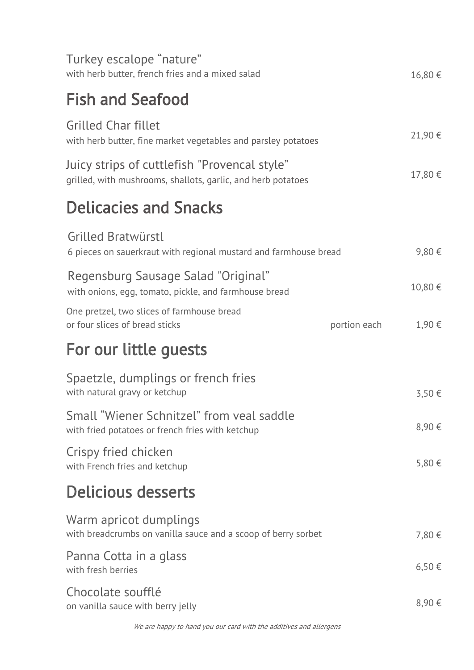| Turkey escalope "nature"<br>with herb butter, french fries and a mixed salad                                 |              | 16,80€  |
|--------------------------------------------------------------------------------------------------------------|--------------|---------|
| <b>Fish and Seafood</b>                                                                                      |              |         |
| <b>Grilled Char fillet</b><br>with herb butter, fine market vegetables and parsley potatoes                  |              | 21,90€  |
| Juicy strips of cuttlefish "Provencal style"<br>grilled, with mushrooms, shallots, garlic, and herb potatoes |              | 17,80 € |
| <b>Delicacies and Snacks</b>                                                                                 |              |         |
| Grilled Bratwürstl<br>6 pieces on sauerkraut with regional mustard and farmhouse bread                       |              | 9,80€   |
| Regensburg Sausage Salad "Original"<br>with onions, egg, tomato, pickle, and farmhouse bread                 |              | 10,80 € |
| One pretzel, two slices of farmhouse bread<br>or four slices of bread sticks                                 | portion each | 1,90 €  |
| For our little guests                                                                                        |              |         |
| Spaetzle, dumplings or french fries<br>with natural gravy or ketchup                                         |              | 3,50 €  |
| Small "Wiener Schnitzel" from yeal saddle<br>with fried potatoes or french fries with ketchup                |              | 8,90€   |
| Crispy fried chicken<br>with French fries and ketchup                                                        |              | 5,80 €  |
| Delicious desserts                                                                                           |              |         |
| Warm apricot dumplings<br>with breadcrumbs on vanilla sauce and a scoop of berry sorbet                      |              | 7,80 €  |
| Panna Cotta in a glass                                                                                       |              |         |
| with fresh berries                                                                                           |              | 6,50€   |

We are happy to hand you our card with the additives and allergens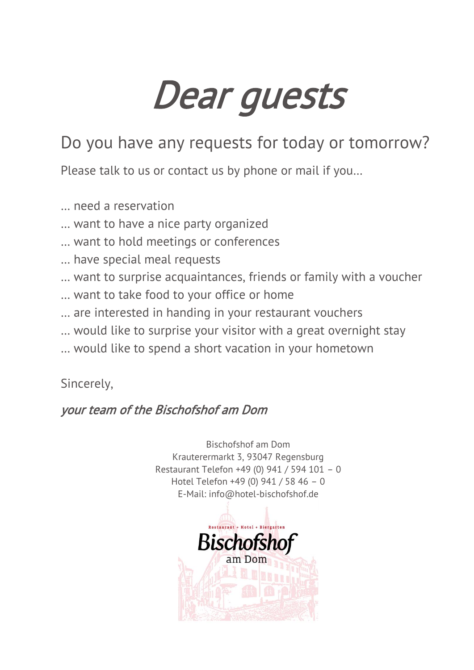# Dear guests

# Do you have any requests for today or tomorrow?

Please talk to us or contact us by phone or mail if you…

- … need a reservation
- … want to have a nice party organized
- … want to hold meetings or conferences
- … have special meal requests
- … want to surprise acquaintances, friends or family with a voucher
- … want to take food to your office or home
- … are interested in handing in your restaurant vouchers
- … would like to surprise your visitor with a great overnight stay
- … would like to spend a short vacation in your hometown

Sincerely,

#### your team of the Bischofshof am Dom

Bischofshof am Dom Krauterermarkt 3, 93047 Regensburg Restaurant Telefon +49 (0) 941 / 594 101 – 0 Hotel Telefon +49 (0) 941 / 58 46 – 0 E-Mail: [info@hotel-bischofshof.de](mailto:info@hotel-bischofshof.de)

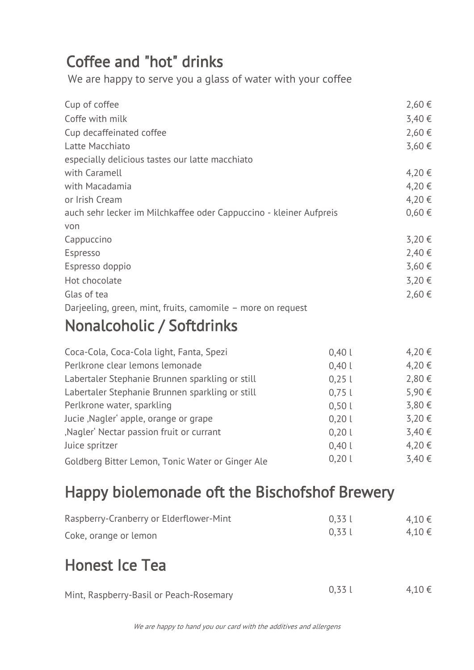# Coffee and "hot" drinks

We are happy to serve you a glass of water with your coffee

| Cup of coffee                                                      | 2,60€      |
|--------------------------------------------------------------------|------------|
| Coffe with milk                                                    | 3,40€      |
| Cup decaffeinated coffee                                           | 2,60 €     |
| Latte Macchiato                                                    | 3,60€      |
| especially delicious tastes our latte macchiato                    |            |
| with Caramell                                                      | 4,20€      |
| with Macadamia                                                     | 4,20€      |
| or Irish Cream                                                     | 4,20€      |
| auch sehr lecker im Milchkaffee oder Cappuccino - kleiner Aufpreis | $0,60 \in$ |
| von                                                                |            |
| Cappuccino                                                         | 3,20€      |
| Espresso                                                           | 2,40€      |
| Espresso doppio                                                    | 3,60€      |
| Hot chocolate                                                      | 3,20€      |
| Glas of tea                                                        | 2,60€      |
| Darjeeling, green, mint, fruits, camomile – more on request        |            |
|                                                                    |            |

## Nonalcoholic / Softdrinks

| Coca-Cola, Coca-Cola light, Fanta, Spezi         | 0,401 | $4,20 \in$ |
|--------------------------------------------------|-------|------------|
| Perlkrone clear lemons lemonade                  | 0,401 | 4,20€      |
| Labertaler Stephanie Brunnen sparkling or still  | 0,251 | 2,80€      |
| Labertaler Stephanie Brunnen sparkling or still  | 0,751 | 5,90€      |
| Perlkrone water, sparkling                       | 0,501 | 3,80€      |
| Jucie, Nagler' apple, orange or grape            | 0,201 | 3,20€      |
| ,Nagler' Nectar passion fruit or currant         | 0,201 | 3,40€      |
| Juice spritzer                                   | 0,401 | 4,20€      |
| Goldberg Bitter Lemon, Tonic Water or Ginger Ale | 0,201 | 3,40 €     |
|                                                  |       |            |

# Happy biolemonade oft the Bischofshof Brewery

| Raspberry-Cranberry or Elderflower-Mint<br>Coke, orange or lemon | 0.331<br>0.331 | 4,10€<br>4,10€ |  |
|------------------------------------------------------------------|----------------|----------------|--|
| <b>Honest Ice Tea</b>                                            |                |                |  |
| Mint, Raspberry-Basil or Peach-Rosemary                          | 0.331          | 4,10€          |  |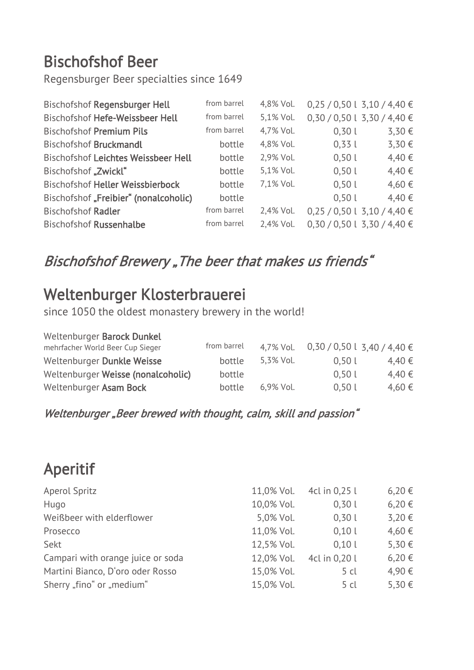# Bischofshof Beer

Regensburger Beer specialties since 1649

| from barrel | 4,8% Vol. |       | $0,25/0,50$ l 3,10 / 4,40 € |
|-------------|-----------|-------|-----------------------------|
| from barrel | 5,1% Vol. |       | $0,30/0,50$ l 3,30 / 4,40 € |
| from barrel | 4,7% Vol. | 0,301 | 3,30 €                      |
| bottle      | 4,8% Vol. | 0,331 | 3,30€                       |
| bottle      | 2,9% Vol. | 0,501 | 4,40 €                      |
| bottle      | 5,1% Vol. | 0,501 | 4,40 €                      |
| bottle      | 7,1% Vol. | 0,501 | 4,60 €                      |
| bottle      |           | 0,501 | 4,40 €                      |
| from barrel | 2,4% Vol. |       | $0,25/0,50$ l 3,10 / 4,40 € |
| from barrel | 2,4% Vol. |       | $0,30/0,50$ l 3,30 / 4,40 € |
|             |           |       |                             |

### Bischofshof Brewery "The beer that makes us friends"

## Weltenburger Klosterbrauerei

since 1050 the oldest monastery brewery in the world!

| Weltenburger Barock Dunkel<br>mehrfacher World Beer Cup Sieger | from barrel | 4,7% Vol.    | $0,30/0,5013,40/4,40 \in$ |            |
|----------------------------------------------------------------|-------------|--------------|---------------------------|------------|
| Weltenburger Dunkle Weisse                                     | bottle      | 5,3% Vol.    | 0.501                     | $4.40 \in$ |
| Weltenburger Weisse (nonalcoholic)                             | bottle      |              | 0,501                     | 4.40€      |
| Weltenburger Asam Bock                                         | bottle      | $6.9\%$ Vol. | 0,501                     | 4,60€      |

#### Weltenburger "Beer brewed with thought, calm, skill and passion"

# Aperitif

| Aperol Spritz                     | 11,0% Vol. | 4cl in 0,25 l | $6,20 \in$ |
|-----------------------------------|------------|---------------|------------|
| Hugo                              | 10,0% Vol. | 0,301         | $6,20 \in$ |
| Weißbeer with elderflower         | 5,0% Vol.  | 0,301         | 3,20€      |
| Prosecco                          | 11,0% Vol. | 0,101         | 4,60€      |
| Sekt                              | 12,5% Vol. | 0.101         | 5,30 €     |
| Campari with orange juice or soda | 12,0% Vol. | 4cl in 0,20 l | $6,20 \in$ |
| Martini Bianco, D'oro oder Rosso  | 15,0% Vol. | 5 cl          | 4,90€      |
| Sherry "fino" or "medium"         | 15,0% Vol. | 5 cl          | 5,30€      |
|                                   |            |               |            |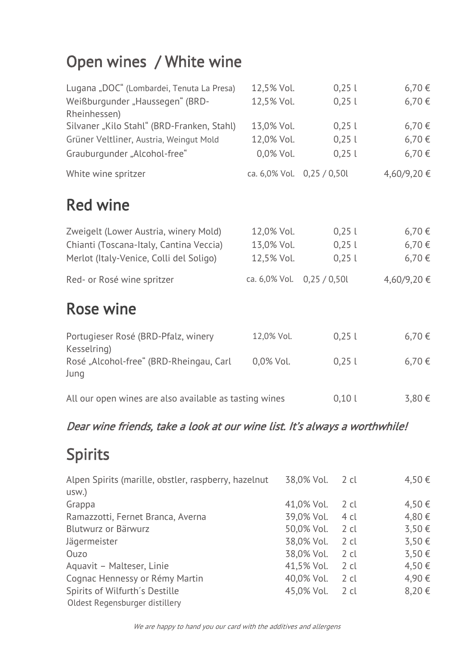# Open wines / White wine

| Lugana "DOC" (Lombardei, Tenuta La Presa)              | 12,5% Vol.                 | 0,251                      | 6,70€       |
|--------------------------------------------------------|----------------------------|----------------------------|-------------|
| Weißburgunder "Haussegen" (BRD-<br>Rheinhessen)        | 12,5% Vol.                 | 0,251                      | 6,70€       |
| Silvaner "Kilo Stahl" (BRD-Franken, Stahl)             | 13,0% Vol.                 | 0,251                      | 6,70€       |
| Grüner Veltliner, Austria, Weingut Mold                | 12,0% Vol.                 | 0,251                      | 6,70 €      |
| Grauburgunder "Alcohol-free"                           | 0,0% Vol.                  | 0,251                      | 6,70€       |
| White wine spritzer                                    |                            | ca. 6,0% Vol. 0,25 / 0,50l | 4,60/9,20 € |
| <b>Red wine</b>                                        |                            |                            |             |
| Zweigelt (Lower Austria, winery Mold)                  | 12,0% Vol.                 | 0,251                      | 6,70€       |
| Chianti (Toscana-Italy, Cantina Veccia)                | 13,0% Vol.                 | 0,251                      | 6,70€       |
| Merlot (Italy-Venice, Colli del Soligo)                | 12,5% Vol.                 | 0,251                      | 6,70€       |
| Red- or Rosé wine spritzer                             | ca. 6,0% Vol. 0,25 / 0,50l |                            | 4,60/9,20 € |
| <b>Rose wine</b>                                       |                            |                            |             |
| Portugieser Rosé (BRD-Pfalz, winery<br>Kesselring)     | 12,0% Vol.                 | 0,251                      | 6,70€       |
| Rosé "Alcohol-free" (BRD-Rheingau, Carl<br>Jung        | 0,0% Vol.                  | 0,251                      | 6,70€       |
| All our open wines are also available as tasting wines |                            | 0,101                      | 3,80 €      |

#### Dear wine friends, take a look at our wine list. It's always a worthwhile!

# Spirits

| Alpen Spirits (marille, obstler, raspberry, hazelnut | 38,0% Vol. | 2 cl      | 4,50€ |
|------------------------------------------------------|------------|-----------|-------|
| usw.)                                                |            |           |       |
| Grappa                                               | 41,0% Vol. | 2 cl      | 4,50€ |
| Ramazzotti, Fernet Branca, Averna                    | 39,0% Vol. | 4 cl      | 4,80€ |
| Blutwurz or Bärwurz                                  | 50,0% Vol. | $2 \,$ cl | 3,50€ |
| Jägermeister                                         | 38,0% Vol. | $2$ cl    | 3,50€ |
| Ouzo                                                 | 38,0% Vol. | $2 \,$ cl | 3,50€ |
| Aquavit - Malteser, Linie                            | 41,5% Vol. | $2 \,$ cl | 4,50€ |
| Cognac Hennessy or Rémy Martin                       | 40,0% Vol. | $2$ cl    | 4,90€ |
| Spirits of Wilfurth's Destille                       | 45,0% Vol. | 2 cl      | 8,20€ |
| Oldest Regensburger distillery                       |            |           |       |